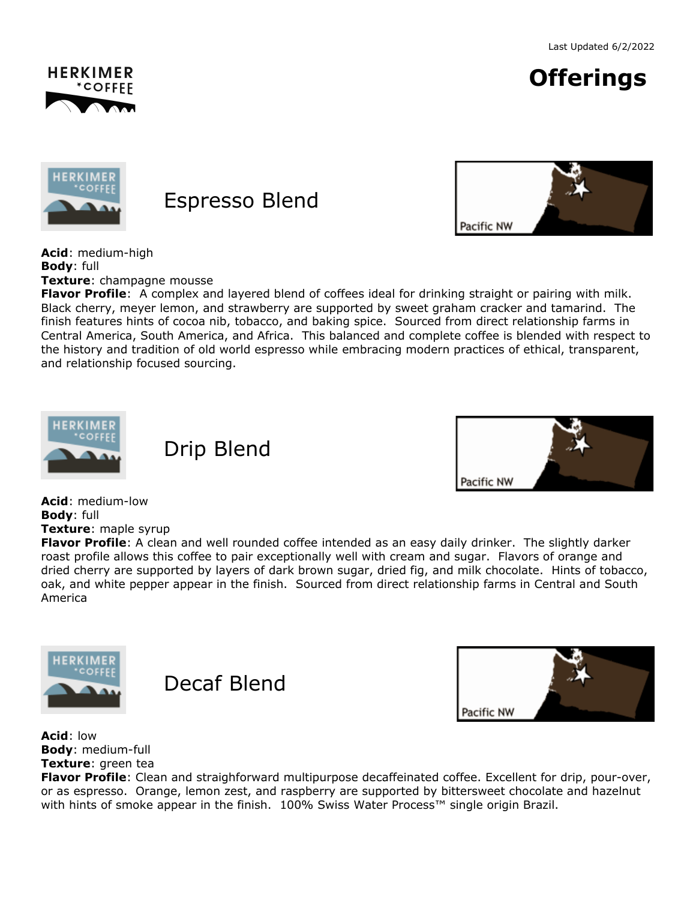





## Espresso Blend



**Acid**: medium-high **Body**: full

**Texture**: champagne mousse

**Flavor Profile**: A complex and layered blend of coffees ideal for drinking straight or pairing with milk. Black cherry, meyer lemon, and strawberry are supported by sweet graham cracker and tamarind. The finish features hints of cocoa nib, tobacco, and baking spice. Sourced from direct relationship farms in Central America, South America, and Africa. This balanced and complete coffee is blended with respect to the history and tradition of old world espresso while embracing modern practices of ethical, transparent, and relationship focused sourcing.







**Acid**: medium-low **Body**: full **Texture**: maple syrup

**Flavor Profile**: A clean and well rounded coffee intended as an easy daily drinker. The slightly darker roast profile allows this coffee to pair exceptionally well with cream and sugar. Flavors of orange and dried cherry are supported by layers of dark brown sugar, dried fig, and milk chocolate. Hints of tobacco, oak, and white pepper appear in the finish. Sourced from direct relationship farms in Central and South America







**Acid**: low **Body**: medium-full **Texture**: green tea

**Flavor Profile**: Clean and straighforward multipurpose decaffeinated coffee. Excellent for drip, pour-over, or as espresso. Orange, lemon zest, and raspberry are supported by bittersweet chocolate and hazelnut with hints of smoke appear in the finish. 100% Swiss Water Process™ single origin Brazil.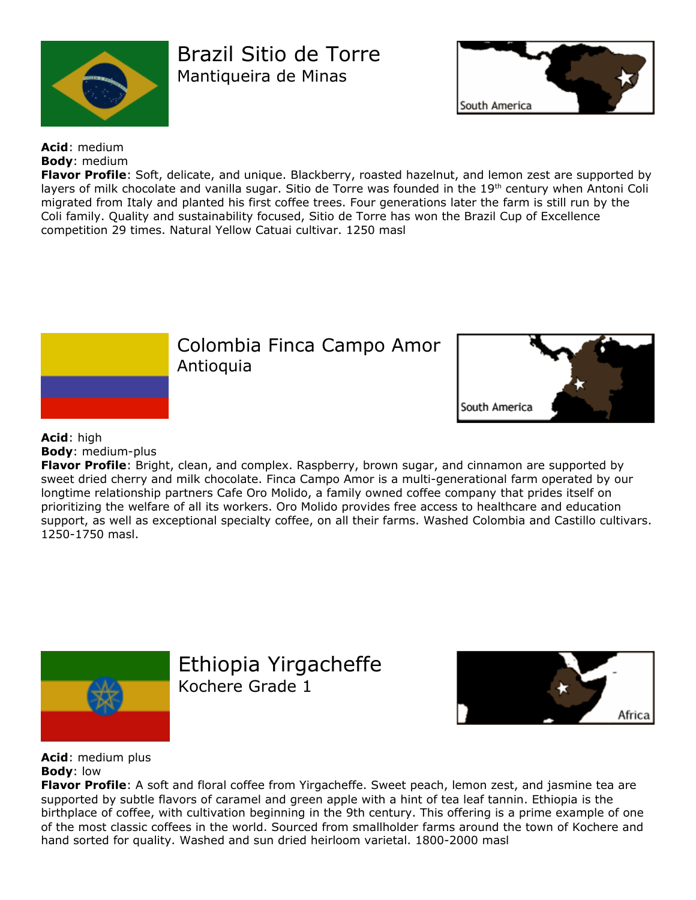

Brazil Sitio de Torre Mantiqueira de Minas



**Acid**: medium **Body**: medium

**Flavor Profile**: Soft, delicate, and unique. Blackberry, roasted hazelnut, and lemon zest are supported by layers of milk chocolate and vanilla sugar. Sitio de Torre was founded in the 19<sup>th</sup> century when Antoni Coli migrated from Italy and planted his first coffee trees. Four generations later the farm is still run by the Coli family. Quality and sustainability focused, Sitio de Torre has won the Brazil Cup of Excellence competition 29 times. Natural Yellow Catuai cultivar. 1250 masl



## **Acid**: high **Body**: medium-plus

**Flavor Profile**: Bright, clean, and complex. Raspberry, brown sugar, and cinnamon are supported by sweet dried cherry and milk chocolate. Finca Campo Amor is a multi-generational farm operated by our longtime relationship partners Cafe Oro Molido, a family owned coffee company that prides itself on prioritizing the welfare of all its workers. Oro Molido provides free access to healthcare and education support, as well as exceptional specialty coffee, on all their farms. Washed Colombia and Castillo cultivars. 1250-1750 masl.



Ethiopia Yirgacheffe Kochere Grade 1



**Acid**: medium plus **Body**: low

**Flavor Profile**: A soft and floral coffee from Yirgacheffe. Sweet peach, lemon zest, and jasmine tea are supported by subtle flavors of caramel and green apple with a hint of tea leaf tannin. Ethiopia is the birthplace of coffee, with cultivation beginning in the 9th century. This offering is a prime example of one of the most classic coffees in the world. Sourced from smallholder farms around the town of Kochere and hand sorted for quality. Washed and sun dried heirloom varietal. 1800-2000 masl